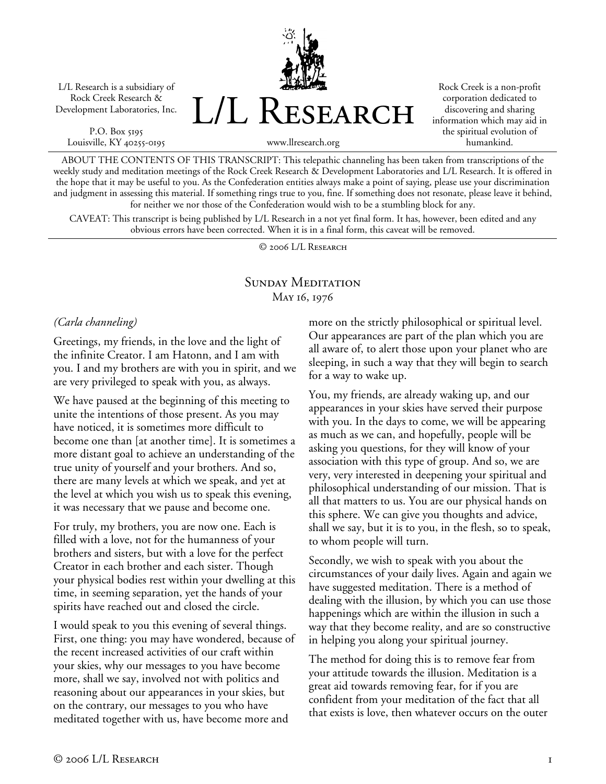L/L Research is a subsidiary of Rock Creek Research & Development Laboratories, Inc.

P.O. Box 5195 Louisville, KY 40255-0195 L/L Research

Rock Creek is a non-profit corporation dedicated to discovering and sharing information which may aid in the spiritual evolution of humankind.

www.llresearch.org

ABOUT THE CONTENTS OF THIS TRANSCRIPT: This telepathic channeling has been taken from transcriptions of the weekly study and meditation meetings of the Rock Creek Research & Development Laboratories and L/L Research. It is offered in the hope that it may be useful to you. As the Confederation entities always make a point of saying, please use your discrimination and judgment in assessing this material. If something rings true to you, fine. If something does not resonate, please leave it behind, for neither we nor those of the Confederation would wish to be a stumbling block for any.

CAVEAT: This transcript is being published by L/L Research in a not yet final form. It has, however, been edited and any obvious errors have been corrected. When it is in a final form, this caveat will be removed.

© 2006 L/L Research

# SUNDAY MEDITATION May 16, 1976

## *(Carla channeling)*

Greetings, my friends, in the love and the light of the infinite Creator. I am Hatonn, and I am with you. I and my brothers are with you in spirit, and we are very privileged to speak with you, as always.

We have paused at the beginning of this meeting to unite the intentions of those present. As you may have noticed, it is sometimes more difficult to become one than [at another time]. It is sometimes a more distant goal to achieve an understanding of the true unity of yourself and your brothers. And so, there are many levels at which we speak, and yet at the level at which you wish us to speak this evening, it was necessary that we pause and become one.

For truly, my brothers, you are now one. Each is filled with a love, not for the humanness of your brothers and sisters, but with a love for the perfect Creator in each brother and each sister. Though your physical bodies rest within your dwelling at this time, in seeming separation, yet the hands of your spirits have reached out and closed the circle.

I would speak to you this evening of several things. First, one thing: you may have wondered, because of the recent increased activities of our craft within your skies, why our messages to you have become more, shall we say, involved not with politics and reasoning about our appearances in your skies, but on the contrary, our messages to you who have meditated together with us, have become more and

more on the strictly philosophical or spiritual level. Our appearances are part of the plan which you are all aware of, to alert those upon your planet who are sleeping, in such a way that they will begin to search for a way to wake up.

You, my friends, are already waking up, and our appearances in your skies have served their purpose with you. In the days to come, we will be appearing as much as we can, and hopefully, people will be asking you questions, for they will know of your association with this type of group. And so, we are very, very interested in deepening your spiritual and philosophical understanding of our mission. That is all that matters to us. You are our physical hands on this sphere. We can give you thoughts and advice, shall we say, but it is to you, in the flesh, so to speak, to whom people will turn.

Secondly, we wish to speak with you about the circumstances of your daily lives. Again and again we have suggested meditation. There is a method of dealing with the illusion, by which you can use those happenings which are within the illusion in such a way that they become reality, and are so constructive in helping you along your spiritual journey.

The method for doing this is to remove fear from your attitude towards the illusion. Meditation is a great aid towards removing fear, for if you are confident from your meditation of the fact that all that exists is love, then whatever occurs on the outer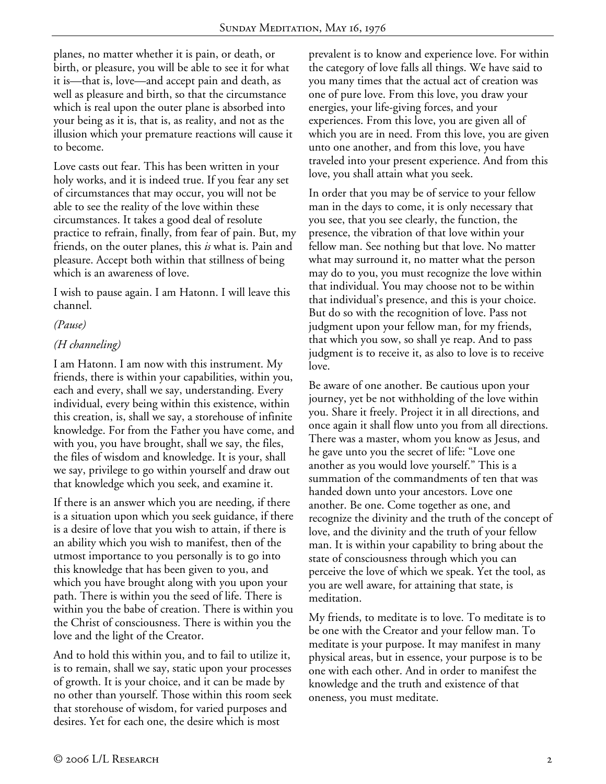planes, no matter whether it is pain, or death, or birth, or pleasure, you will be able to see it for what it is—that is, love—and accept pain and death, as well as pleasure and birth, so that the circumstance which is real upon the outer plane is absorbed into your being as it is, that is, as reality, and not as the illusion which your premature reactions will cause it to become.

Love casts out fear. This has been written in your holy works, and it is indeed true. If you fear any set of circumstances that may occur, you will not be able to see the reality of the love within these circumstances. It takes a good deal of resolute practice to refrain, finally, from fear of pain. But, my friends, on the outer planes, this *is* what is. Pain and pleasure. Accept both within that stillness of being which is an awareness of love.

I wish to pause again. I am Hatonn. I will leave this channel.

## *(Pause)*

## *(H channeling)*

I am Hatonn. I am now with this instrument. My friends, there is within your capabilities, within you, each and every, shall we say, understanding. Every individual, every being within this existence, within this creation, is, shall we say, a storehouse of infinite knowledge. For from the Father you have come, and with you, you have brought, shall we say, the files, the files of wisdom and knowledge. It is your, shall we say, privilege to go within yourself and draw out that knowledge which you seek, and examine it.

If there is an answer which you are needing, if there is a situation upon which you seek guidance, if there is a desire of love that you wish to attain, if there is an ability which you wish to manifest, then of the utmost importance to you personally is to go into this knowledge that has been given to you, and which you have brought along with you upon your path. There is within you the seed of life. There is within you the babe of creation. There is within you the Christ of consciousness. There is within you the love and the light of the Creator.

And to hold this within you, and to fail to utilize it, is to remain, shall we say, static upon your processes of growth. It is your choice, and it can be made by no other than yourself. Those within this room seek that storehouse of wisdom, for varied purposes and desires. Yet for each one, the desire which is most

prevalent is to know and experience love. For within the category of love falls all things. We have said to you many times that the actual act of creation was one of pure love. From this love, you draw your energies, your life-giving forces, and your experiences. From this love, you are given all of which you are in need. From this love, you are given unto one another, and from this love, you have traveled into your present experience. And from this love, you shall attain what you seek.

In order that you may be of service to your fellow man in the days to come, it is only necessary that you see, that you see clearly, the function, the presence, the vibration of that love within your fellow man. See nothing but that love. No matter what may surround it, no matter what the person may do to you, you must recognize the love within that individual. You may choose not to be within that individual's presence, and this is your choice. But do so with the recognition of love. Pass not judgment upon your fellow man, for my friends, that which you sow, so shall ye reap. And to pass judgment is to receive it, as also to love is to receive love.

Be aware of one another. Be cautious upon your journey, yet be not withholding of the love within you. Share it freely. Project it in all directions, and once again it shall flow unto you from all directions. There was a master, whom you know as Jesus, and he gave unto you the secret of life: "Love one another as you would love yourself." This is a summation of the commandments of ten that was handed down unto your ancestors. Love one another. Be one. Come together as one, and recognize the divinity and the truth of the concept of love, and the divinity and the truth of your fellow man. It is within your capability to bring about the state of consciousness through which you can perceive the love of which we speak. Yet the tool, as you are well aware, for attaining that state, is meditation.

My friends, to meditate is to love. To meditate is to be one with the Creator and your fellow man. To meditate is your purpose. It may manifest in many physical areas, but in essence, your purpose is to be one with each other. And in order to manifest the knowledge and the truth and existence of that oneness, you must meditate.